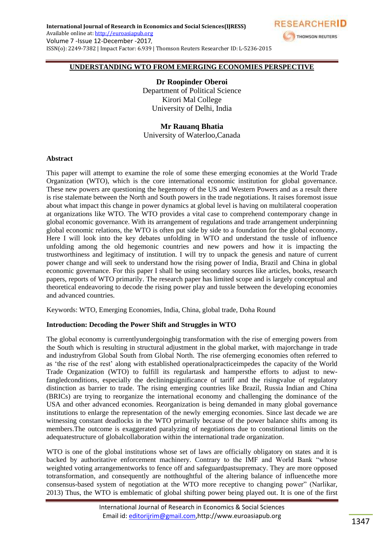

#### **UNDERSTANDING WTO FROM EMERGING ECONOMIES PERSPECTIVE**

**Dr Roopinder Oberoi** Department of Political Science Kirori Mal College University of Delhi, India

# **Mr Rauanq Bhatia**

University of Waterloo,Canada

#### **Abstract**

This paper will attempt to examine the role of some these emerging economies at the World Trade Organization (WTO), which is the core international economic institution for global governance. These new powers are questioning the hegemony of the US and Western Powers and as a result there is rise stalemate between the North and South powers in the trade negotiations. It raises foremost issue about what impact this change in power dynamics at global level is having on multilateral cooperation at organizations like WTO. The WTO provides a vital case to comprehend contemporary change in global economic governance. With its arrangement of regulations and trade arrangement underpinning global economic relations, the WTO is often put side by side to a foundation for the global economy**.**  Here I will look into the key debates unfolding in WTO and understand the tussle of influence unfolding among the old hegemonic countries and new powers and how it is impacting the trustworthiness and legitimacy of institution. I will try to unpack the genesis and nature of current power change and will seek to understand how the rising power of India, Brazil and China in global economic governance. For this paper I shall be using secondary sources like articles, books, research papers, reports of WTO primarily. The research paper has limited scope and is largely conceptual and theoretical endeavoring to decode the rising power play and tussle between the developing economies and advanced countries.

Keywords: WTO, Emerging Economies, India, China, global trade, Doha Round

#### **Introduction: Decoding the Power Shift and Struggles in WTO**

The global economy is currentlyundergoingbig transformation with the rise of emerging powers from the South which is resulting in structural adjustment in the global market, with majorchange in trade and industryfrom Global South from Global North. The rise ofemerging economies often referred to as ‗the rise of the rest' along with established operationalpracticeimpedes the capacity of the World Trade Organization (WTO) to fulfill its regulartask and hampersthe efforts to adjust to newfangledconditions, especially the decliningsignificance of tariff and the risingvalue of regulatory distinction as barrier to trade. The rising emerging countries like Brazil, Russia Indian and China (BRICs) are trying to reorganize the international economy and challenging the dominance of the USA and other advanced economies. Reorganization is being demanded in many global governance institutions to enlarge the representation of the newly emerging economies. Since last decade we are witnessing constant deadlocks in the WTO primarily because of the power balance shifts among its members.The outcome is exaggerated paralyzing of negotiations due to constitutional limits on the adequatestructure of globalcollaboration within the international trade organization.

WTO is one of the global institutions whose set of laws are officially obligatory on states and it is backed by authoritative enforcement machinery. Contrary to the IMF and World Bank "whose weighted voting arrangementworks to fence off and safeguardpastsupremacy. They are more opposed totransformation, and consequently are notthoughtful of the altering balance of influencethe more consensus-based system of negotiation at the WTO more receptive to changing power" (Narlikar, 2013) Thus, the WTO is emblematic of global shifting power being played out. It is one of the first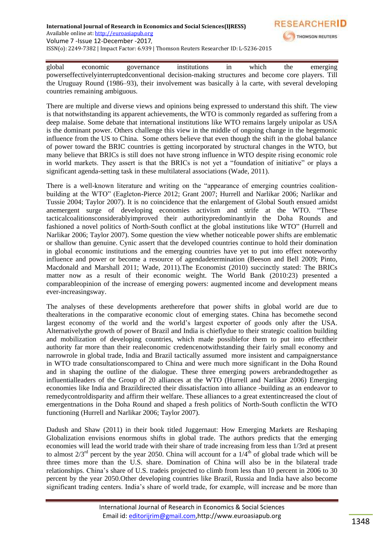

global economic governance institutions in which the emerging powerseffectivelyinterruptedconventional decision-making structures and become core players. Till the Uruguay Round (1986–93), their involvement was basically à la carte, with several developing countries remaining ambiguous.

There are multiple and diverse views and opinions being expressed to understand this shift. The view is that notwithstanding its apparent achievements, the WTO is commonly regarded as suffering from a deep malaise. Some debate that international institutions like WTO remains largely unipolar as USA is the dominant power. Others challenge this view in the middle of ongoing change in the hegemonic influence from the US to China. Some others believe that even though the shift in the global balance of power toward the BRIC countries is getting incorporated by structural changes in the WTO, but many believe that BRICs is still does not have strong influence in WTO despite rising economic role in world markets. They assert is that the BRICs is not yet a "foundation of initiative" or plays a significant agenda-setting task in these multilateral associations (Wade, 2011).

There is a well-known literature and writing on the "appearance of emerging countries coalitionbuilding at the WTO" (Eagleton-Pierce 2012; Grant 2007; Hurrell and Narlikar 2006; Narlikar and Tussie 2004; Taylor 2007). It is no coincidence that the enlargement of Global South ensued amidst anemergent surge of developing economies activism and strife at the WTO. "These tacticalcoalitionsconsiderablyimproved their authoritypredominantlyin the Doha Rounds and fashioned a novel politics of North-South conflict at the global institutions like WTO" (Hurrell and Narlikar 2006; Taylor 2007). Some question the view whether noticeable power shifts are emblematic or shallow than genuine. Cynic assert that the developed countries continue to hold their domination in global economic institutions and the emerging countries have yet to put into effect noteworthy influence and power or become a resource of agendadetermination (Beeson and Bell 2009; Pinto, Macdonald and Marshall 2011; Wade, 2011).The Economist (2010) succinctly stated: The BRICs matter now as a result of their economic weight. The World Bank (2010:23) presented a comparableopinion of the increase of emerging powers: augmented income and development means ever-increasingsway.

The analyses of these developments aretherefore that power shifts in global world are due to thealterations in the comparative economic clout of emerging states. China has becomethe second largest economy of the world and the world's largest exporter of goods only after the USA. Alternativelythe growth of power of Brazil and India is chieflydue to their strategic coalition building and mobilization of developing countries, which made possiblefor them to put into effecttheir authority far more than their realeconomic credencenotwithstanding their fairly small economy and narrowrole in global trade, India and Brazil tactically assumed more insistent and campaignerstance in WTO trade consultationscompared to China and were much more significant in the Doha Round and in shaping the outline of the dialogue. These three emerging powers arebrandedtogether as influentialleaders of the Group of 20 alliances at the WTO (Hurrell and Narlikar 2006) Emerging economies like India and Brazildirected their dissatisfaction into alliance -building as an endeavor to remedycontroldisparity and affirm their welfare. These alliances to a great extentincreased the clout of emergentnations in the Doha Round and shaped a fresh politics of North-South conflictin the WTO functioning (Hurrell and Narlikar 2006; Taylor 2007).

Dadush and Shaw (2011) in their book titled Juggernaut: How Emerging Markets are Reshaping Globalization envisions enormous shifts in global trade. The authors predicts that the emerging economies will lead the world trade with their share of trade increasing from less than 1/3rd at present to almost  $2/3^{rd}$  percent by the year 2050. China will account for a  $1/4^{th}$  of global trade which will be three times more than the U.S. share. Domination of China will also be in the bilateral trade relationships. China's share of U.S. tradeis projected to climb from less than 10 percent in 2006 to 30 percent by the year 2050.Other developing countries like Brazil, Russia and India have also become significant trading centers. India's share of world trade, for example, will increase and be more than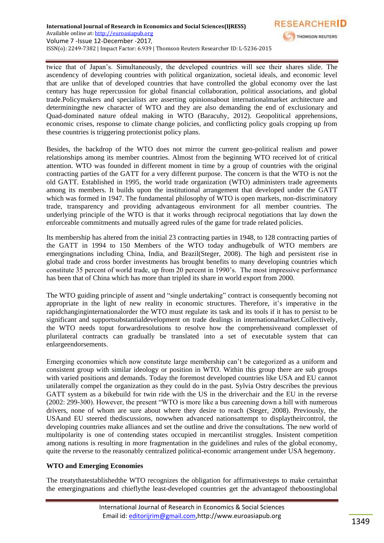

twice that of Japan's. Simultaneously, the developed countries will see their shares slide. The ascendency of developing countries with political organization, societal ideals, and economic level that are unlike that of developed countries that have controlled the global economy over the last century has huge repercussion for global financial collaboration, political associations, and global trade.Policymakers and specialists are asserting opinionsabout internationalmarket architecture and determiningthe new character of WTO and they are also demanding the end of exclusionary and Quad-dominated nature ofdeal making in WTO (Baracuhy, 2012). Geopolitical apprehensions, economic crises, response to climate change policies, and conflicting policy goals cropping up from these countries is triggering protectionist policy plans.

Besides, the backdrop of the WTO does not mirror the current geo-political realism and power relationships among its member countries. Almost from the beginning WTO received lot of critical attention. WTO was founded in different moment in time by a group of countries with the original contracting parties of the GATT for a very different purpose. The concern is that the WTO is not the old GATT. Established in 1995, the world trade organization (WTO) administers trade agreements among its members. It builds upon the institutional arrangement that developed under the GATT which was formed in 1947. The fundamental philosophy of WTO is open markets, non-discriminatory trade, transparency and providing advantageous environment for all member countries. The underlying principle of the WTO is that it works through reciprocal negotiations that lay down the enforceable commitments and mutually agreed rules of the game for trade related policies.

Its membership has altered from the initial 23 contracting parties in 1948, to 128 contracting parties of the GATT in 1994 to 150 Members of the WTO today andhugebulk of WTO members are emergingnations including China, India, and Brazil(Steger, 2008). The high and persistent rise in global trade and cross border investments has brought benefits to many developing countries which constitute 35 percent of world trade, up from 20 percent in 1990's. The most impressive performance has been that of China which has more than tripled its share in world export from 2000.

The WTO guiding principle of assent and "single undertaking" contract is consequently becoming not appropriate in the light of new reality in economic structures. Therefore, it's imperative in the rapidchanginginternationalorder the WTO must regulate its task and its tools if it has to persist to be significant and supportsubstantialdevelopment on trade dealings in internationalmarket.Collectively, the WTO needs toput forwardresolutions to resolve how the comprehensiveand complexset of plurilateral contracts can gradually be translated into a set of executable system that can enlargeendorsements.

Emerging economies which now constitute large membership can't be categorized as a uniform and consistent group with similar ideology or position in WTO. Within this group there are sub groups with varied positions and demands. Today the foremost developed countries like USA and EU cannot unilaterally compel the organization as they could do in the past. Sylvia Ostry describes the previous GATT system as a bikebuild for twin ride with the US in the driverchair and the EU in the reverse (2002: 299-300). However, the present "WTO is more like a bus careening down a hill with numerous drivers, none of whom are sure about where they desire to reach (Steger, 2008). Previously, the USAand EU steered thediscussions, nowwhen advanced nationsattempt to displaytheircontrol, the developing countries make alliances and set the outline and drive the consultations. The new world of multipolarity is one of contending states occupied in mercantilist struggles. Insistent competition among nations is resulting in more fragmentation in the guidelines and rules of the global economy, quite the reverse to the reasonably centralized political-economic arrangement under USA hegemony.

# **WTO and Emerging Economies**

The treatythatestablishedthe WTO recognizes the obligation for affirmativesteps to make certainthat the emergingnations and chieflythe least-developed countries get the advantageof theboostinglobal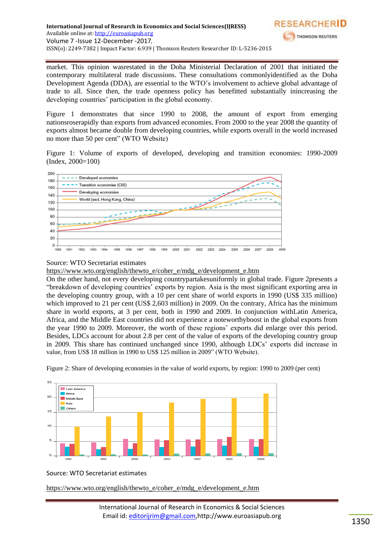

market. This opinion wasrestated in the Doha Ministerial Declaration of 2001 that initiated the contemporary multilateral trade discussions. These consultations commonlyidentified as the Doha Development Agenda (DDA), are essential to the WTO's involvement to achieve global advantage of trade to all. Since then, the trade openness policy has benefitted substantially inincreasing the developing countries' participation in the global economy.

Figure 1 demonstrates that since 1990 to 2008, the amount of export from emerging nationsroserapidly than exports from advanced economies. From 2000 to the year 2008 the quantity of exports almost became double from developing countries, while exports overall in the world increased no more than 50 per cent" (WTO Website)

Figure 1: Volume of exports of developed, developing and transition economies: 1990-2009 (Index, 2000=100)



# Source: WTO Secretariat estimates

[https://www.wto.org/english/thewto\\_e/coher\\_e/mdg\\_e/development\\_e.htm](https://www.wto.org/english/thewto_e/coher_e/mdg_e/development_e.htm)

On the other hand, not every developing countrypartakesuniformly in global trade. Figure 2presents a ―breakdown of developing countries' exports by region. Asia is the most significant exporting area in the developing country group, with a 10 per cent share of world exports in 1990 (US\$ 335 million) which improved to 21 per cent (US\$ 2,603 million) in 2009. On the contrary, Africa has the minimum share in world exports, at 3 per cent, both in 1990 and 2009. In conjunction withLatin America, Africa, and the Middle East countries did not experience a noteworthyboost in the global exports from the year 1990 to 2009. Moreover, the worth of these regions' exports did enlarge over this period. Besides, LDCs account for about 2.8 per cent of the value of exports of the developing country group in 2009. This share has continued unchanged since 1990, although LDCs' exports did increase in value, from US\$ 18 million in 1990 to US\$ 125 million in 2009" (WTO Website).



Figure 2: Share of developing economies in the value of world exports, by region: 1990 to 2009 (per cent)

# Source: WTO Secretariat estimates

[https://www.wto.org/english/thewto\\_e/coher\\_e/mdg\\_e/development\\_e.htm](https://www.wto.org/english/thewto_e/coher_e/mdg_e/development_e.htm)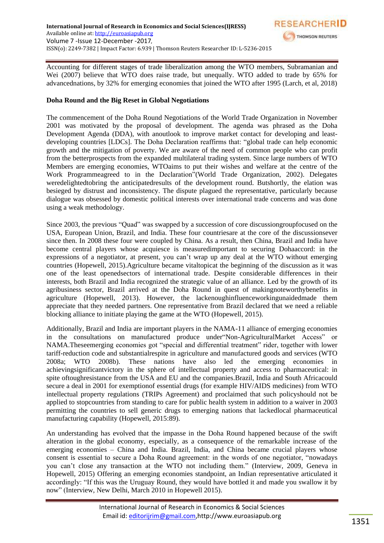

Accounting for different stages of trade liberalization among the WTO members, Subramanian and Wei (2007) believe that WTO does raise trade, but unequally. WTO added to trade by 65% for advancednations, by 32% for emerging economies that joined the WTO after 1995 (Larch, et al, 2018)

### **Doha Round and the Big Reset in Global Negotiations**

The commencement of the Doha Round Negotiations of the World Trade Organization in November 2001 was motivated by the proposal of development. The agenda was phrased as the Doha Development Agenda (DDA), with anoutlook to improve market contact for developing and leastdeveloping countries [LDCs]. The Doha Declaration reaffirms that: "global trade can help economic growth and the mitigation of poverty. We are aware of the need of common people who can profit from the betterprospects from the expanded multilateral trading system. Since large numbers of WTO Members are emerging economies, WTOaims to put their wishes and welfare at the centre of the Work Programmeagreed to in the Declaration" (World Trade Organization, 2002). Delegates weredelightedtobring the anticipatedresults of the development round. Butshortly, the elation was besieged by distrust and inconsistency. The dispute plagued the representative, particularly because dialogue was obsessed by domestic political interests over international trade concerns and was done using a weak methodology.

Since 2003, the previous "Quad" was swapped by a succession of core discussiongroupfocused on the USA, European Union, Brazil, and India. These four countriesare at the core of the discussionsever since then. In 2008 these four were coupled by China. As a result, then China, Brazil and India have become central players whose acquiesce is measuredimportant to securing Dohaaccord: in the expressions of a negotiator, at present, you can't wrap up any deal at the WTO without emerging countries (Hopewell, 2015).Agriculture became vitaltopicat the beginning of the discussion as it was one of the least openedsectors of international trade. Despite considerable differences in their interests, both Brazil and India recognized the strategic value of an alliance. Led by the growth of its agribusiness sector, Brazil arrived at the Doha Round in quest of makingnoteworthybenefits in agriculture (Hopewell, 2013). However, the lackenoughinfluenceworkingunaidedmade them appreciate that they needed partners. One representative from Brazil declared that we need a reliable blocking alliance to initiate playing the game at the WTO (Hopewell, 2015).

Additionally, Brazil and India are important players in the NAMA-11 alliance of emerging economies in the consultations on manufactured produce under Non-AgriculturalMarket Access" or NAMA. These emerging economies got "special and differential treatment" rider, together with lower tariff-reduction code and substantialrespite in agriculture and manufactured goods and services (WTO 2008a; WTO 2008b). These nations have also led the emerging economies in achievingsignificantvictory in the sphere of intellectual property and access to pharmaceutical: in spite oftoughresistance from the USA and EU and the companies.Brazil, India and South Africacould secure a deal in 2001 for exemptionof essential drugs (for example HIV/AIDS medicines) from WTO intellectual property regulations (TRIPs Agreement) and proclaimed that such policyshould not be applied to stopcountries from standing to care for public health system in addition to a waiver in 2003 permitting the countries to sell generic drugs to emerging nations that lackedlocal pharmaceutical manufacturing capability (Hopewell, 2015:89).

An understanding has evolved that the impasse in the Doha Round happened because of the swift alteration in the global economy, especially, as a consequence of the remarkable increase of the emerging economies – China and India. Brazil, India, and China became crucial players whose consent is essential to secure a Doha Round agreement: in the words of one negotiator, "nowadays" you can't close any transaction at the WTO not including them." (Interview, 2009, Geneva in Hopewell, 2015) Offering an emerging economies standpoint, an Indian representative articulated it accordingly: "If this was the Uruguay Round, they would have bottled it and made you swallow it by now" (Interview, New Delhi, March 2010 in Hopewell 2015).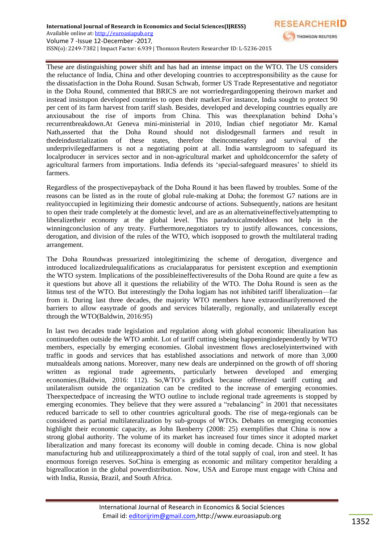

**RESEARCHER** 

THOMSON REUTERS

Regardless of the prospectivepayback of the Doha Round it has been flawed by troubles. Some of the reasons can be listed as in the route of global rule-making at Doha; the foremost G7 nations are in realityoccupied in legitimizing their domestic andcourse of actions. Subsequently, nations are hesitant to open their trade completely at the domestic level, and are as an alternativeineffectivelyattempting to liberalizetheir economy at the global level. This paradoxicalmodeldoes not help in the winningconclusion of any treaty. Furthermore,negotiators try to justify allowances, concessions, derogation, and division of the rules of the WTO, which isopposed to growth the multilateral trading arrangement.

The Doha Roundwas pressurized intolegitimizing the scheme of derogation, divergence and introduced localizedrulequalifications as crucialapparatus for persistent exception and exemptionin the WTO system. Implications of the possibleineffectiveresults of the Doha Round are quite a few as it questions but above all it questions the reliability of the WTO. The Doha Round is seen as the litmus test of the WTO. But interestingly the Doha logjam has not inhibited tariff liberalization—far from it. During last three decades, the majority WTO members have extraordinarilyremoved the barriers to allow easytrade of goods and services bilaterally, regionally, and unilaterally except through the WTO(Baldwin, 2016:95)

In last two decades trade legislation and regulation along with global economic liberalization has continuedoften outside the WTO ambit. Lot of tariff cutting isbeing happeningindependently by WTO members, especially by emerging economies. Global investment flows arecloselyintertwined with traffic in goods and services that has established associations and network of more than 3,000 mutualdeals among nations. Moreover, many new deals are underpinned on the growth of off shoring written as regional trade agreements, particularly between developed and emerging economies.(Baldwin, 2016: 112). So,WTO's gridlock because offrenzied tariff cutting and unilateralism outside the organization can be credited to the increase of emerging economies. Theexpectedpace of increasing the WTO outline to include regional trade agreements is stopped by emerging economies. They believe that they were assured a "rebalancing" in 2001 that necessitates reduced barricade to sell to other countries agricultural goods. The rise of mega-regionals can be considered as partial multilateralization by sub-groups of WTOs. Debates on emerging economies highlight their economic capacity, as John Ikenberry (2008: 25) exemplifies that China is now a strong global authority. The volume of its market has increased four times since it adopted market liberalization and many forecast its economy will double in coming decade. China is now global manufacturing hub and utilizeapproximately a third of the total supply of coal, iron and steel. It has enormous foreign reserves. SoChina is emerging as economic and military competitor heralding a bigreallocation in the global powerdistribution. Now, USA and Europe must engage with China and with India, Russia, Brazil, and South Africa.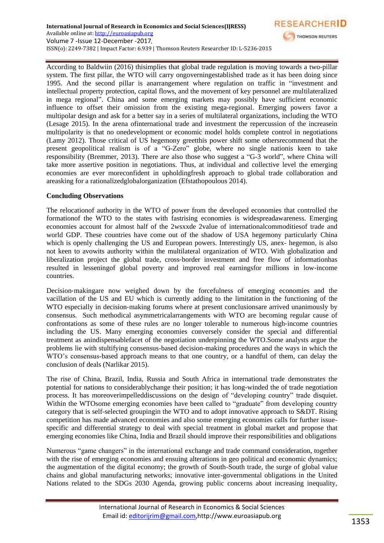According to Baldwiin (2016) thisimplies that global trade regulation is moving towards a two-pillar system. The first pillar, the WTO will carry ongoverningestablished trade as it has been doing since 1995. And the second pillar is anarrangement where regulation on traffic in "investment and intellectual property protection, capital flows, and the movement of key personnel are multilateralized in mega regional". China and some emerging markets may possibly have sufficient economic influence to offset their omission from the existing mega-regional. Emerging powers favor a multipolar design and ask for a better say in a series of multilateral organizations, including the WTO (Lesage 2015). In the arena ofinternational trade and investment the repercussion of the increasein multipolarity is that no onedevelopment or economic model holds complete control in negotiations (Lamy 2012). Those critical of US hegemony greetthis power shift some othersrecommend that the present geopolitical realism is of a "G-Zero" globe, where no single nationis keen to take responsibility (Bremmer, 2013). There are also those who suggest a "G-3 world", where China will take more assertive position in negotiations. Thus, at individual and collective level the emerging economies are ever moreconfident in upholdingfresh approach to global trade collaboration and areasking for a rationalizedglobalorganization (Efstathopoulous 2014).

**RESEARCHER** 

THOMSON REUTERS

### **Concluding Observations**

The relocationof authority in the WTO of power from the developed economies that controlled the formationof the WTO to the states with fastrising economies is widespreadawareness. Emerging economies account for almost half of the 2wsxxde 2value of internationalcommoditiesof trade and world GDP. These countries have come out of the shadow of USA hegemony particularly China which is openly challenging the US and European powers. Interestingly US, anex- hegemon, is also not keen to avowits authority within the multilateral organization of WTO. With globalization and liberalization project the global trade, cross‐border investment and free flow of informationhas resulted in lesseningof global poverty and improved real earningsfor millions in low‐income countries.

Decision-makingare now weighed down by the forcefulness of emerging economies and the vacillation of the US and EU which is currently adding to the limitation in the functioning of the WTO especially in decision-making forums where at present conclusions are arrived unanimously by consensus. Such methodical asymmetricalarrangements with WTO are becoming regular cause of confrontations as some of these rules are no longer tolerable to numerous high-income countries including the US. Many emerging economies conversely consider the special and differential treatment as anindispensablefacet of the negotiation underpinning the WTO.Some analysts argue the problems lie with stultifying consensus-based decision-making procedures and the ways in which the WTO's consensus-based approach means to that one country, or a handful of them, can delay the conclusion of deals (Narlikar 2015).

The rise of China, Brazil, India, Russia and South Africa in international trade demonstrates the potential for nations to considerablychange their position; it has long-winded the of trade negotiation process. It has moreoverimpelleddiscussions on the design of "developing country" trade disquiet. Within the WTOsome emerging economies have been called to "graduate" from developing country category that is self-selected groupingin the WTO and to adopt innovative approach to S&DT. Rising competition has made advanced economies and also some emerging economies calls for further issuespecific and differential strategy to deal with special treatment in global market and propose that emerging economies like China, India and Brazil should improve their responsibilities and obligations

Numerous "game changers" in the international exchange and trade command consideration, together with the rise of emerging economies and ensuing alterations in geo political and economic dynamics; the augmentation of the digital economy; the growth of South-South trade, the surge of global value chains and global manufacturing networks; innovative inter-governmental obligations in the United Nations related to the SDGs 2030 Agenda, growing public concerns about increasing inequality,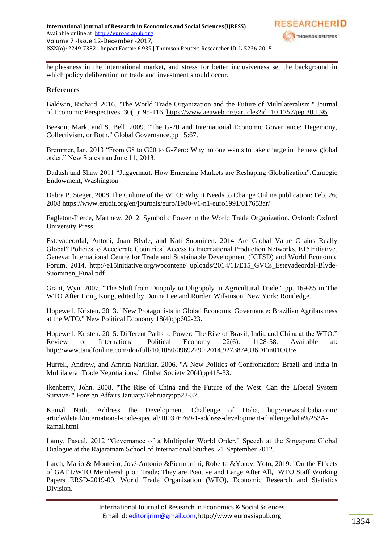

helplessness in the international market, and stress for better inclusiveness set the background in which policy deliberation on trade and investment should occur.

#### **References**

Baldwin, Richard. 2016. "The World Trade Organization and the Future of Multilateralism." Journal of Economic Perspectives, 30(1): 95-116. <https://www.aeaweb.org/articles?id=10.1257/jep.30.1.95>

Beeson, Mark, and S. Bell. 2009. "The G-20 and International Economic Governance: Hegemony, Collectivism, or Both." Global Governance.pp 15:67.

Bremmer, Ian. 2013 "From G8 to G20 to G-Zero: Why no one wants to take charge in the new global order." New Statesman June 11, 2013.

Dadush and Shaw 2011 "Juggernaut: How Emerging Markets are Reshaping Globalization", Carnegie Endowment, Washington

Debra P. Steger, 2008 The Culture of the WTO: Why it Needs to Change Online publication: Feb. 26, 2008 https://www.erudit.org/en/journals/euro/1900-v1-n1-euro1991/017653ar/

Eagleton-Pierce, Matthew. 2012. Symbolic Power in the World Trade Organization. Oxford: Oxford University Press.

Estevadeordal, Antoni, Juan Blyde, and Kati Suominen. 2014 Are Global Value Chains Really Global? Policies to Accelerate Countries' Access to International Production Networks. E15Initiative. Geneva: International Centre for Trade and Sustainable Development (ICTSD) and World Economic Forum, 2014. http://e15initiative.org/wpcontent/ uploads/2014/11/E15\_GVCs\_Estevadeordal-Blyde-Suominen\_Final.pdf

Grant, Wyn. 2007. "The Shift from Duopoly to Oligopoly in Agricultural Trade." pp. 169-85 in The WTO After Hong Kong, edited by Donna Lee and Rorden Wilkinson. New York: Routledge.

Hopewell, Kristen. 2013. "New Protagonists in Global Economic Governance: Brazilian Agribusiness at the WTO." New Political Economy 18(4):pp602-23.

Hopewell, Kristen. 2015. Different Paths to Power: The Rise of Brazil, India and China at the WTO." Review of International Political Economy 22(6): 1128-58. Available at: <http://www.tandfonline.com/doi/full/10.1080/09692290.2014.927387#.U6DEm01OU5s>

Hurrell, Andrew, and Amrita Narlikar. 2006. "A New Politics of Confrontation: Brazil and India in Multilateral Trade Negotiations." Global Society 20(4)pp415-33.

Ikenberry, John. 2008. "The Rise of China and the Future of the West: Can the Liberal System Survive?" Foreign Affairs January/February:pp23-37.

Kamal Nath, Address the Development Challenge of Doha, http://news.alibaba.com/ article/detail/international-trade-special/100376769-1-address-development-challengedoha%253Akamal.html

Lamy, Pascal. 2012 "Governance of a Multipolar World Order." Speech at the Singapore Global Dialogue at the Rajaratnam School of International Studies, 21 September 2012.

Larch, Mario & Monteiro, José-Antonio &Piermartini, Roberta &Yotov, Yoto, 2019. ["On the Effects](https://www.wto.org/english/res_e/reser_e/ersd201909_e.htm)  [of GATT/WTO Membership on Trade: They are Positive and Large After All,"](https://www.wto.org/english/res_e/reser_e/ersd201909_e.htm) WTO Staff Working Papers ERSD-2019-09, World Trade Organization (WTO), Economic Research and Statistics Division.